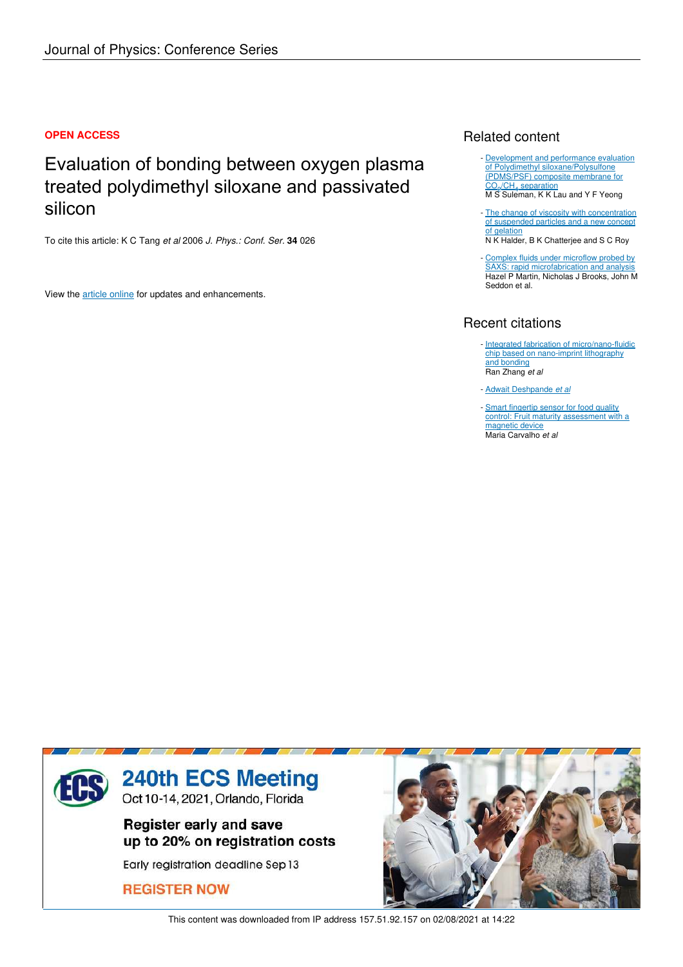## **OPEN ACCESS**

# Evaluation of bonding between oxygen plasma treated polydimethyl siloxane and passivated silicon

To cite this article: K C Tang *et al* 2006 *J. Phys.: Conf. Ser.* **34** 026

View the article online for updates and enhancements.

# Related content

- Development and performance evaluation of Polydimethyl siloxane/Polysulfone (PDMS/PSF) composite membrane for CO<sub>2</sub>/CH<sub>4</sub> separation M S Suleman, K K Lau and Y F Yeong
- The change of viscosity with concentration of suspended particles and a new concept of gelation
- N K Halder, B K Chatterjee and S C Roy
- Complex fluids under microflow probed by SAXS: rapid microfabrication and analysis Hazel P Martin, Nicholas J Brooks, John M Seddon et al.

# Recent citations

- Integrated fabrication of micro/nano-fluidic chip based on nano-imprint lithography and bonding Ran Zhang *et al*
- Adwait Deshpande *et al*
- Smart fingertip sensor for food quality control: Fruit maturity assessment with a magnetic device Maria Carvalho *et al*



This content was downloaded from IP address 157.51.92.157 on 02/08/2021 at 14:22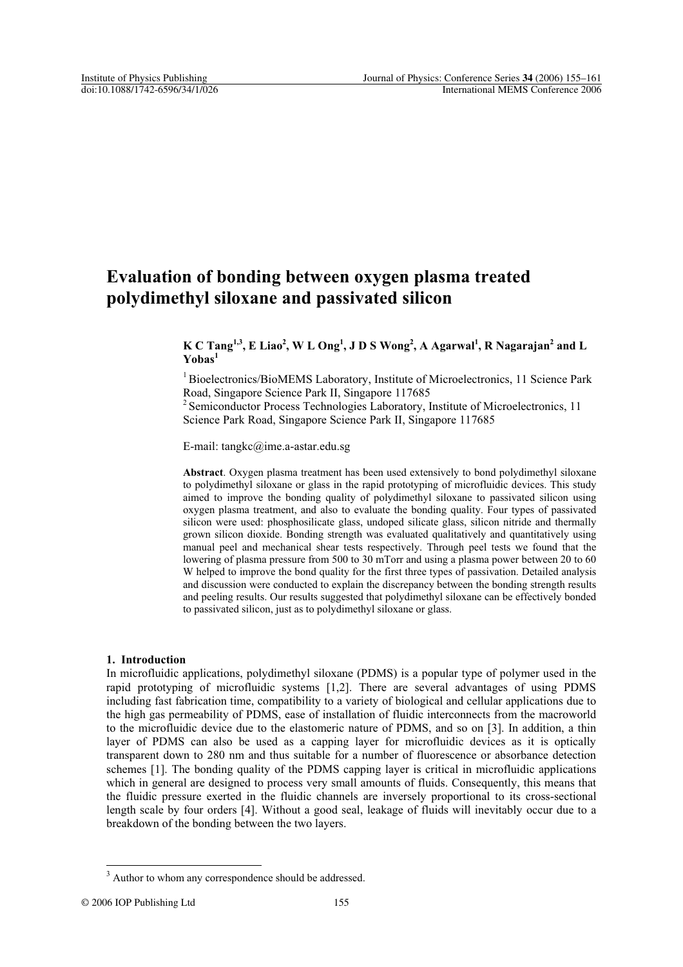# **Evaluation of bonding between oxygen plasma treated polydimethyl siloxane and passivated silicon**

## **K C Tang1,3, E Liao<sup>2</sup> , W L Ong<sup>1</sup> , J D S Wong<sup>2</sup> , A Agarwal<sup>1</sup> , R Nagarajan<sup>2</sup> and L Yobas<sup>1</sup>**

<sup>1</sup> Bioelectronics/BioMEMS Laboratory, Institute of Microelectronics, 11 Science Park Road, Singapore Science Park II, Singapore 117685

<sup>2</sup> Semiconductor Process Technologies Laboratory, Institute of Microelectronics, 11 Science Park Road, Singapore Science Park II, Singapore 117685

E-mail: tangkc@ime.a-astar.edu.sg

**Abstract**. Oxygen plasma treatment has been used extensively to bond polydimethyl siloxane to polydimethyl siloxane or glass in the rapid prototyping of microfluidic devices. This study aimed to improve the bonding quality of polydimethyl siloxane to passivated silicon using oxygen plasma treatment, and also to evaluate the bonding quality. Four types of passivated silicon were used: phosphosilicate glass, undoped silicate glass, silicon nitride and thermally grown silicon dioxide. Bonding strength was evaluated qualitatively and quantitatively using manual peel and mechanical shear tests respectively. Through peel tests we found that the lowering of plasma pressure from 500 to 30 mTorr and using a plasma power between 20 to 60 W helped to improve the bond quality for the first three types of passivation. Detailed analysis and discussion were conducted to explain the discrepancy between the bonding strength results and peeling results. Our results suggested that polydimethyl siloxane can be effectively bonded to passivated silicon, just as to polydimethyl siloxane or glass.

#### **1. Introduction**

In microfluidic applications, polydimethyl siloxane (PDMS) is a popular type of polymer used in the rapid prototyping of microfluidic systems [1,2]. There are several advantages of using PDMS including fast fabrication time, compatibility to a variety of biological and cellular applications due to the high gas permeability of PDMS, ease of installation of fluidic interconnects from the macroworld to the microfluidic device due to the elastomeric nature of PDMS, and so on [3]. In addition, a thin layer of PDMS can also be used as a capping layer for microfluidic devices as it is optically transparent down to 280 nm and thus suitable for a number of fluorescence or absorbance detection schemes [1]. The bonding quality of the PDMS capping layer is critical in microfluidic applications which in general are designed to process very small amounts of fluids. Consequently, this means that the fluidic pressure exerted in the fluidic channels are inversely proportional to its cross-sectional length scale by four orders [4]. Without a good seal, leakage of fluids will inevitably occur due to a breakdown of the bonding between the two layers.

<sup>&</sup>lt;sup>3</sup> Author to whom any correspondence should be addressed.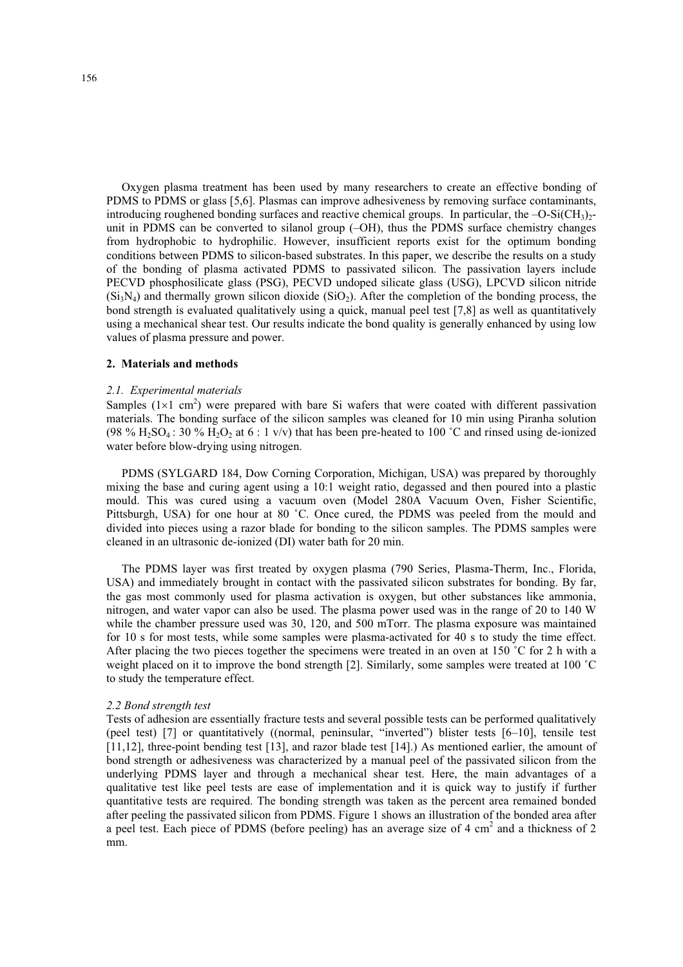Oxygen plasma treatment has been used by many researchers to create an effective bonding of PDMS to PDMS or glass [5,6]. Plasmas can improve adhesiveness by removing surface contaminants, introducing roughened bonding surfaces and reactive chemical groups. In particular, the  $-O-Si(CH_3)$ unit in PDMS can be converted to silanol group (–OH), thus the PDMS surface chemistry changes from hydrophobic to hydrophilic. However, insufficient reports exist for the optimum bonding conditions between PDMS to silicon-based substrates. In this paper, we describe the results on a study of the bonding of plasma activated PDMS to passivated silicon. The passivation layers include PECVD phosphosilicate glass (PSG), PECVD undoped silicate glass (USG), LPCVD silicon nitride  $(Si<sub>3</sub>N<sub>4</sub>)$  and thermally grown silicon dioxide (SiO<sub>2</sub>). After the completion of the bonding process, the bond strength is evaluated qualitatively using a quick, manual peel test [7,8] as well as quantitatively using a mechanical shear test. Our results indicate the bond quality is generally enhanced by using low values of plasma pressure and power.

#### **2. Materials and methods**

#### *2.1. Experimental materials*

Samples  $(1\times1$  cm<sup>2</sup>) were prepared with bare Si wafers that were coated with different passivation materials. The bonding surface of the silicon samples was cleaned for 10 min using Piranha solution (98 % H<sub>2</sub>SO<sub>4</sub>: 30 % H<sub>2</sub>O<sub>2</sub> at 6 : 1 v/v) that has been pre-heated to 100 °C and rinsed using de-ionized water before blow-drying using nitrogen.

PDMS (SYLGARD 184, Dow Corning Corporation, Michigan, USA) was prepared by thoroughly mixing the base and curing agent using a 10:1 weight ratio, degassed and then poured into a plastic mould. This was cured using a vacuum oven (Model 280A Vacuum Oven, Fisher Scientific, Pittsburgh, USA) for one hour at 80 ˚C. Once cured, the PDMS was peeled from the mould and divided into pieces using a razor blade for bonding to the silicon samples. The PDMS samples were cleaned in an ultrasonic de-ionized (DI) water bath for 20 min.

The PDMS layer was first treated by oxygen plasma (790 Series, Plasma-Therm, Inc., Florida, USA) and immediately brought in contact with the passivated silicon substrates for bonding. By far, the gas most commonly used for plasma activation is oxygen, but other substances like ammonia, nitrogen, and water vapor can also be used. The plasma power used was in the range of 20 to 140 W while the chamber pressure used was 30, 120, and 500 mTorr. The plasma exposure was maintained for 10 s for most tests, while some samples were plasma-activated for 40 s to study the time effect. After placing the two pieces together the specimens were treated in an oven at 150 °C for 2 h with a weight placed on it to improve the bond strength [2]. Similarly, some samples were treated at 100 ˚C to study the temperature effect.

#### *2.2 Bond strength test*

Tests of adhesion are essentially fracture tests and several possible tests can be performed qualitatively (peel test) [7] or quantitatively ((normal, peninsular, "inverted") blister tests [6–10], tensile test [11,12], three-point bending test [13], and razor blade test [14].) As mentioned earlier, the amount of bond strength or adhesiveness was characterized by a manual peel of the passivated silicon from the underlying PDMS layer and through a mechanical shear test. Here, the main advantages of a qualitative test like peel tests are ease of implementation and it is quick way to justify if further quantitative tests are required. The bonding strength was taken as the percent area remained bonded after peeling the passivated silicon from PDMS. Figure 1 shows an illustration of the bonded area after a peel test. Each piece of PDMS (before peeling) has an average size of 4 cm<sup>2</sup> and a thickness of 2 mm.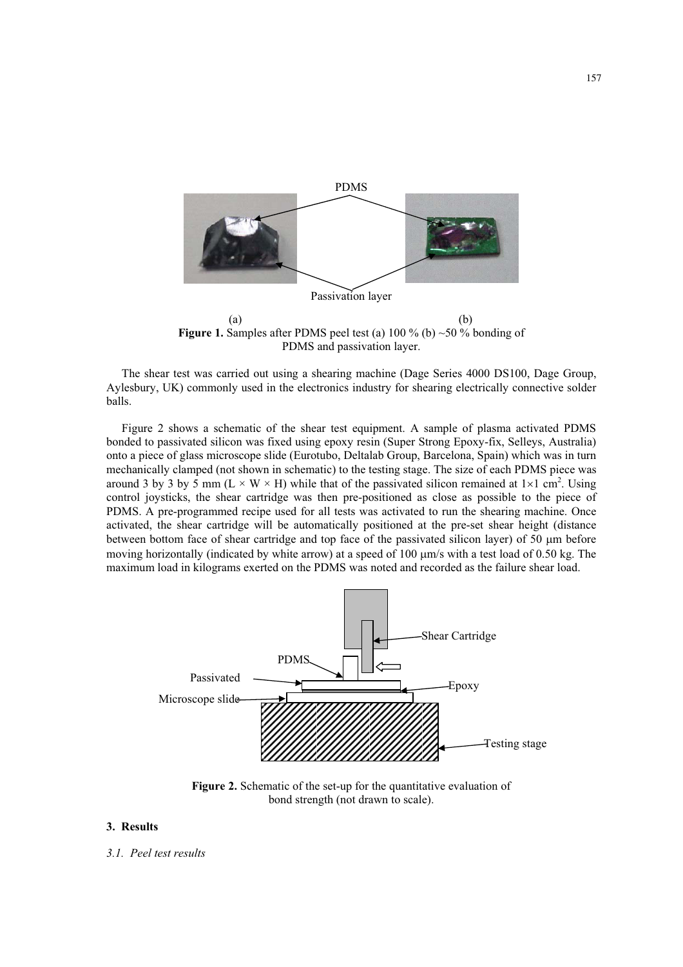

**Figure 1.** Samples after PDMS peel test (a)  $100\%$  (b)  $\sim$  50 % bonding of PDMS and passivation layer.

The shear test was carried out using a shearing machine (Dage Series 4000 DS100, Dage Group, Aylesbury, UK) commonly used in the electronics industry for shearing electrically connective solder balls.

Figure 2 shows a schematic of the shear test equipment. A sample of plasma activated PDMS bonded to passivated silicon was fixed using epoxy resin (Super Strong Epoxy-fix, Selleys, Australia) onto a piece of glass microscope slide (Eurotubo, Deltalab Group, Barcelona, Spain) which was in turn mechanically clamped (not shown in schematic) to the testing stage. The size of each PDMS piece was around 3 by 3 by 5 mm ( $L \times W \times H$ ) while that of the passivated silicon remained at  $1 \times 1$  cm<sup>2</sup>. Using control joysticks, the shear cartridge was then pre-positioned as close as possible to the piece of PDMS. A pre-programmed recipe used for all tests was activated to run the shearing machine. Once activated, the shear cartridge will be automatically positioned at the pre-set shear height (distance between bottom face of shear cartridge and top face of the passivated silicon layer) of  $50 \mu m$  before moving horizontally (indicated by white arrow) at a speed of 100  $\mu$ m/s with a test load of 0.50 kg. The maximum load in kilograms exerted on the PDMS was noted and recorded as the failure shear load.



**Figure 2.** Schematic of the set-up for the quantitative evaluation of bond strength (not drawn to scale).

### **3. Results**

*3.1. Peel test results*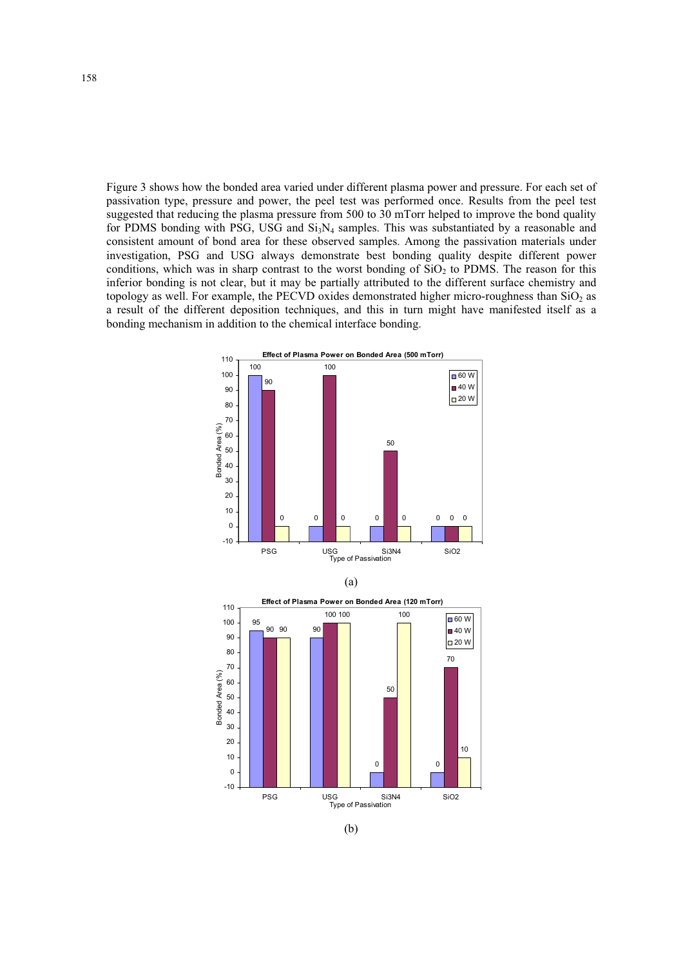Figure 3 shows how the bonded area varied under different plasma power and pressure. For each set of passivation type, pressure and power, the peel test was performed once. Results from the peel test suggested that reducing the plasma pressure from 500 to 30 mTorr helped to improve the bond quality for PDMS bonding with PSG, USG and  $Si<sub>3</sub>N<sub>4</sub>$  samples. This was substantiated by a reasonable and consistent amount of bond area for these observed samples. Among the passivation materials under investigation, PSG and USG always demonstrate best bonding quality despite different power conditions, which was in sharp contrast to the worst bonding of  $SiO<sub>2</sub>$  to PDMS. The reason for this inferior bonding is not clear, but it may be partially attributed to the different surface chemistry and topology as well. For example, the PECVD oxides demonstrated higher micro-roughness than  $SiO<sub>2</sub>$  as a result of the different deposition techniques, and this in turn might have manifested itself as a bonding mechanism in addition to the chemical interface bonding.







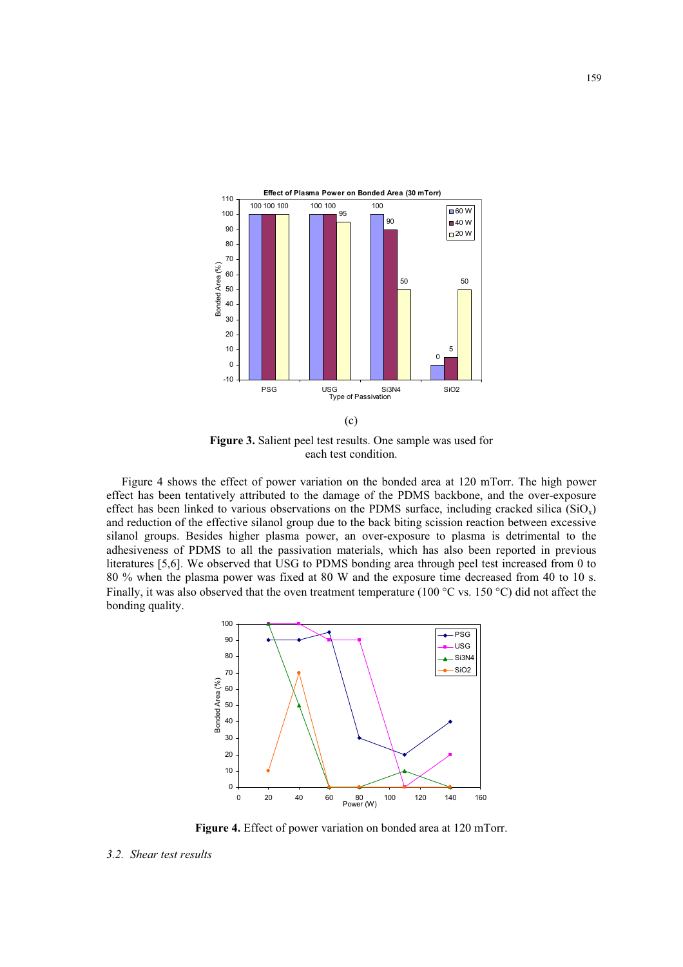

**Figure 3.** Salient peel test results. One sample was used for each test condition.

Figure 4 shows the effect of power variation on the bonded area at 120 mTorr. The high power effect has been tentatively attributed to the damage of the PDMS backbone, and the over-exposure effect has been linked to various observations on the PDMS surface, including cracked silica  $(SiO<sub>x</sub>)$ and reduction of the effective silanol group due to the back biting scission reaction between excessive silanol groups. Besides higher plasma power, an over-exposure to plasma is detrimental to the adhesiveness of PDMS to all the passivation materials, which has also been reported in previous literatures [5,6]. We observed that USG to PDMS bonding area through peel test increased from 0 to 80 % when the plasma power was fixed at 80 W and the exposure time decreased from 40 to 10 s. Finally, it was also observed that the oven treatment temperature (100  $\degree$ C vs. 150  $\degree$ C) did not affect the bonding quality.



**Figure 4.** Effect of power variation on bonded area at 120 mTorr.

*<sup>3.2.</sup> Shear test results*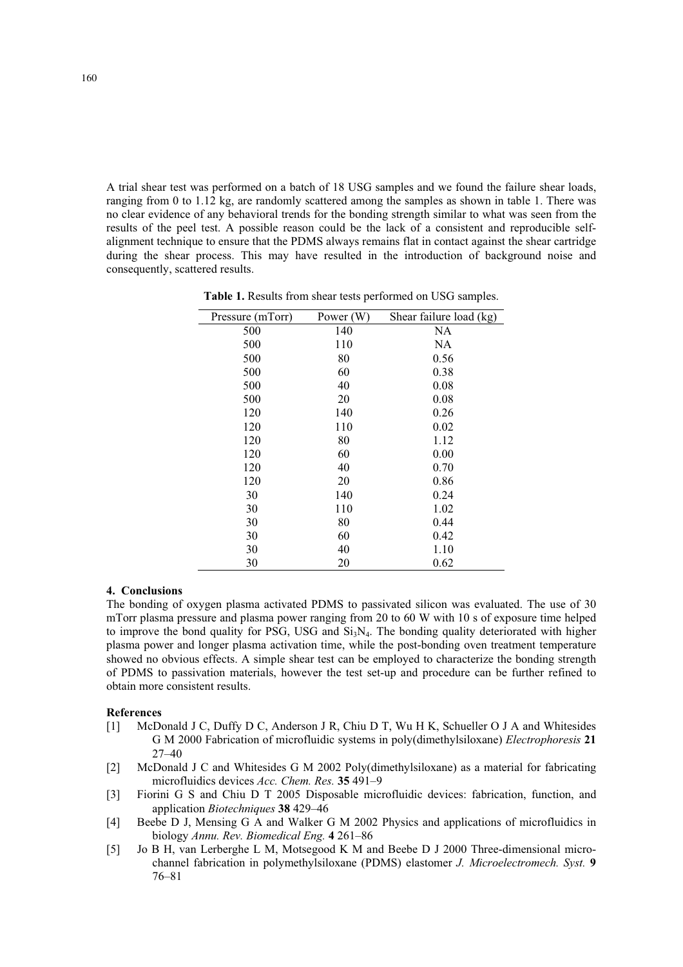A trial shear test was performed on a batch of 18 USG samples and we found the failure shear loads, ranging from 0 to 1.12 kg, are randomly scattered among the samples as shown in table 1. There was no clear evidence of any behavioral trends for the bonding strength similar to what was seen from the results of the peel test. A possible reason could be the lack of a consistent and reproducible selfalignment technique to ensure that the PDMS always remains flat in contact against the shear cartridge during the shear process. This may have resulted in the introduction of background noise and consequently, scattered results.

| Pressure (mTorr) | Power $(W)$ | Shear failure load (kg) |
|------------------|-------------|-------------------------|
| 500              | 140         | NA                      |
| 500              | 110         | NA                      |
| 500              | 80          | 0.56                    |
| 500              | 60          | 0.38                    |
| 500              | 40          | 0.08                    |
| 500              | 20          | 0.08                    |
| 120              | 140         | 0.26                    |
| 120              | 110         | 0.02                    |
| 120              | 80          | 1.12                    |
| 120              | 60          | 0.00                    |
| 120              | 40          | 0.70                    |
| 120              | 20          | 0.86                    |
| 30               | 140         | 0.24                    |
| 30               | 110         | 1.02                    |
| 30               | 80          | 0.44                    |
| 30               | 60          | 0.42                    |
| 30               | 40          | 1.10                    |
| 30               | 20          | 0.62                    |

**Table 1.** Results from shear tests performed on USG samples.

### **4. Conclusions**

The bonding of oxygen plasma activated PDMS to passivated silicon was evaluated. The use of 30 mTorr plasma pressure and plasma power ranging from 20 to 60 W with 10 s of exposure time helped to improve the bond quality for PSG, USG and  $Si<sub>3</sub>N<sub>4</sub>$ . The bonding quality deteriorated with higher plasma power and longer plasma activation time, while the post-bonding oven treatment temperature showed no obvious effects. A simple shear test can be employed to characterize the bonding strength of PDMS to passivation materials, however the test set-up and procedure can be further refined to obtain more consistent results.

#### **References**

- [1] McDonald J C, Duffy D C, Anderson J R, Chiu D T, Wu H K, Schueller O J A and Whitesides G M 2000 Fabrication of microfluidic systems in poly(dimethylsiloxane) *Electrophoresis* **21** 27–40
- [2] McDonald J C and Whitesides G M 2002 Poly(dimethylsiloxane) as a material for fabricating microfluidics devices *Acc. Chem. Res.* **35** 491–9
- [3] Fiorini G S and Chiu D T 2005 Disposable microfluidic devices: fabrication, function, and application *Biotechniques* **38** 429–46
- [4] Beebe D J, Mensing G A and Walker G M 2002 Physics and applications of microfluidics in biology *Annu. Rev. Biomedical Eng.* **4** 261–86
- [5] Jo B H, van Lerberghe L M, Motsegood K M and Beebe D J 2000 Three-dimensional microchannel fabrication in polymethylsiloxane (PDMS) elastomer *J. Microelectromech. Syst.* **9** 76–81